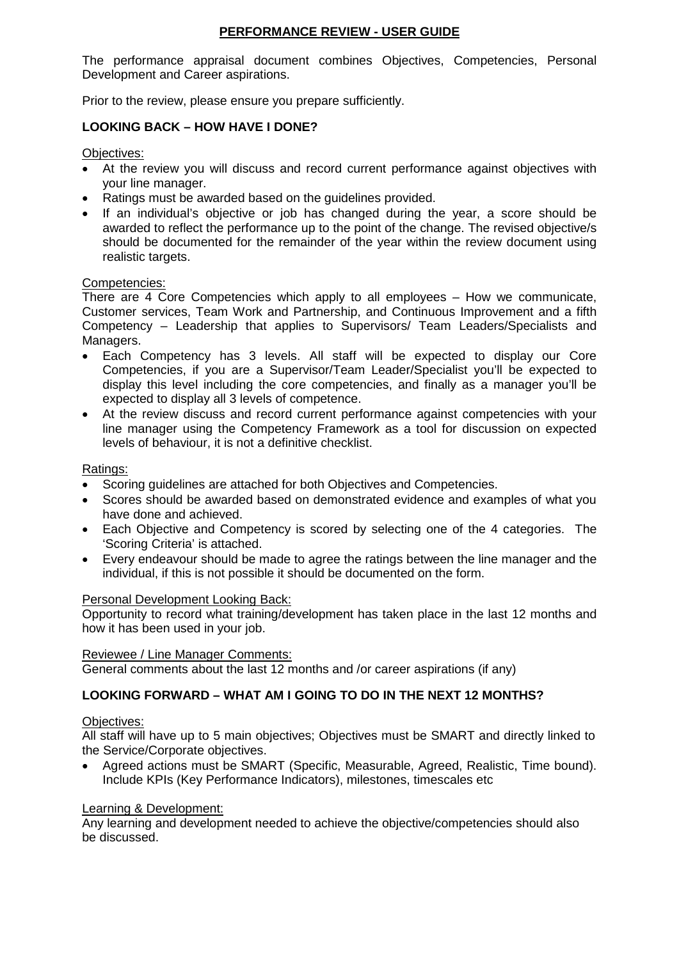# **PERFORMANCE REVIEW - USER GUIDE**

The performance appraisal document combines Objectives, Competencies, Personal Development and Career aspirations.

Prior to the review, please ensure you prepare sufficiently.

# **LOOKING BACK – HOW HAVE I DONE?**

Objectives:

- At the review you will discuss and record current performance against objectives with your line manager.
- Ratings must be awarded based on the guidelines provided.
- If an individual's objective or job has changed during the year, a score should be awarded to reflect the performance up to the point of the change. The revised objective/s should be documented for the remainder of the year within the review document using realistic targets.

### Competencies:

There are 4 Core Competencies which apply to all employees – How we communicate, Customer services, Team Work and Partnership, and Continuous Improvement and a fifth Competency – Leadership that applies to Supervisors/ Team Leaders/Specialists and Managers.

- Each Competency has 3 levels. All staff will be expected to display our Core Competencies, if you are a Supervisor/Team Leader/Specialist you'll be expected to display this level including the core competencies, and finally as a manager you'll be expected to display all 3 levels of competence.
- At the review discuss and record current performance against competencies with your line manager using the Competency Framework as a tool for discussion on expected levels of behaviour, it is not a definitive checklist.

### Ratings:

- Scoring guidelines are attached for both Objectives and Competencies.
- Scores should be awarded based on demonstrated evidence and examples of what you have done and achieved.
- Each Objective and Competency is scored by selecting one of the 4 categories. The 'Scoring Criteria' is attached.
- Every endeavour should be made to agree the ratings between the line manager and the individual, if this is not possible it should be documented on the form.

#### Personal Development Looking Back:

Opportunity to record what training/development has taken place in the last 12 months and how it has been used in your job.

#### Reviewee / Line Manager Comments:

General comments about the last 12 months and /or career aspirations (if any)

## **LOOKING FORWARD – WHAT AM I GOING TO DO IN THE NEXT 12 MONTHS?**

## Objectives:

All staff will have up to 5 main objectives; Objectives must be SMART and directly linked to the Service/Corporate objectives.

• Agreed actions must be SMART (Specific, Measurable, Agreed, Realistic, Time bound). Include KPIs (Key Performance Indicators), milestones, timescales etc

## Learning & Development:

Any learning and development needed to achieve the objective/competencies should also be discussed.